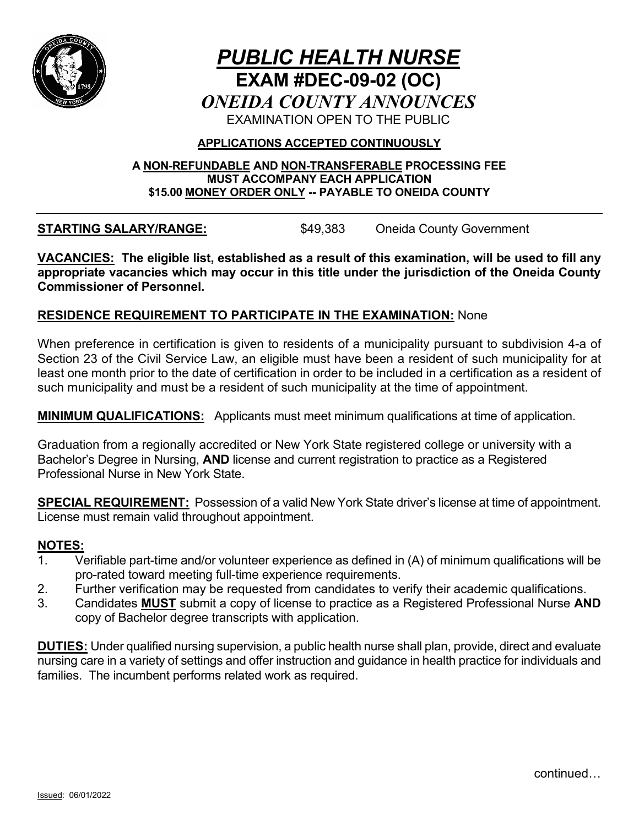

# *PUBLIC HEALTH NURSE* **EXAM #DEC-09-02 (OC)** *ONEIDA COUNTY ANNOUNCES* EXAMINATION OPEN TO THE PUBLIC

### **APPLICATIONS ACCEPTED CONTINUOUSLY**

#### **A NON-REFUNDABLE AND NON-TRANSFERABLE PROCESSING FEE MUST ACCOMPANY EACH APPLICATION \$15.00 MONEY ORDER ONLY -- PAYABLE TO ONEIDA COUNTY**

**STARTING SALARY/RANGE:**  $$49,383$  Oneida County Government

**VACANCIES: The eligible list, established as a result of this examination, will be used to fill any appropriate vacancies which may occur in this title under the jurisdiction of the Oneida County Commissioner of Personnel.**

### **RESIDENCE REQUIREMENT TO PARTICIPATE IN THE EXAMINATION:** None

When preference in certification is given to residents of a municipality pursuant to subdivision 4-a of Section 23 of the Civil Service Law, an eligible must have been a resident of such municipality for at least one month prior to the date of certification in order to be included in a certification as a resident of such municipality and must be a resident of such municipality at the time of appointment.

**MINIMUM QUALIFICATIONS:** Applicants must meet minimum qualifications at time of application.

Graduation from a regionally accredited or New York State registered college or university with a Bachelor's Degree in Nursing, **AND** license and current registration to practice as a Registered Professional Nurse in New York State.

**SPECIAL REQUIREMENT:** Possession of a valid New York State driver's license at time of appointment. License must remain valid throughout appointment.

#### **NOTES:**

- 1. Verifiable part-time and/or volunteer experience as defined in (A) of minimum qualifications will be pro-rated toward meeting full-time experience requirements.
- 2. Further verification may be requested from candidates to verify their academic qualifications.
- 3. Candidates **MUST** submit a copy of license to practice as a Registered Professional Nurse **AND** copy of Bachelor degree transcripts with application.

**DUTIES:** Under qualified nursing supervision, a public health nurse shall plan, provide, direct and evaluate nursing care in a variety of settings and offer instruction and guidance in health practice for individuals and families. The incumbent performs related work as required.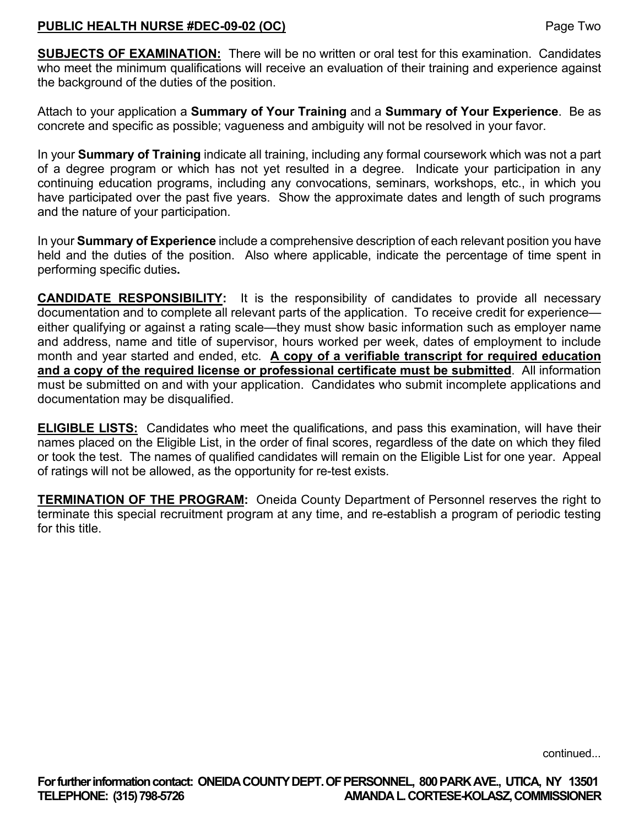### **PUBLIC HEALTH NURSE #DEC-09-02 (OC)** Page Two

**SUBJECTS OF EXAMINATION:** There will be no written or oral test for this examination. Candidates who meet the minimum qualifications will receive an evaluation of their training and experience against the background of the duties of the position.

Attach to your application a **Summary of Your Training** and a **Summary of Your Experience**. Be as concrete and specific as possible; vagueness and ambiguity will not be resolved in your favor.

In your **Summary of Training** indicate all training, including any formal coursework which was not a part of a degree program or which has not yet resulted in a degree. Indicate your participation in any continuing education programs, including any convocations, seminars, workshops, etc., in which you have participated over the past five years. Show the approximate dates and length of such programs and the nature of your participation.

In your **Summary of Experience** include a comprehensive description of each relevant position you have held and the duties of the position. Also where applicable, indicate the percentage of time spent in performing specific duties**.**

**CANDIDATE RESPONSIBILITY:** It is the responsibility of candidates to provide all necessary documentation and to complete all relevant parts of the application. To receive credit for experience either qualifying or against a rating scale—they must show basic information such as employer name and address, name and title of supervisor, hours worked per week, dates of employment to include month and year started and ended, etc. **A copy of a verifiable transcript for required education and a copy of the required license or professional certificate must be submitted**. All information must be submitted on and with your application. Candidates who submit incomplete applications and documentation may be disqualified.

**ELIGIBLE LISTS:** Candidates who meet the qualifications, and pass this examination, will have their names placed on the Eligible List, in the order of final scores, regardless of the date on which they filed or took the test. The names of qualified candidates will remain on the Eligible List for one year. Appeal of ratings will not be allowed, as the opportunity for re-test exists.

**TERMINATION OF THE PROGRAM:** Oneida County Department of Personnel reserves the right to terminate this special recruitment program at any time, and re-establish a program of periodic testing for this title.

continued...